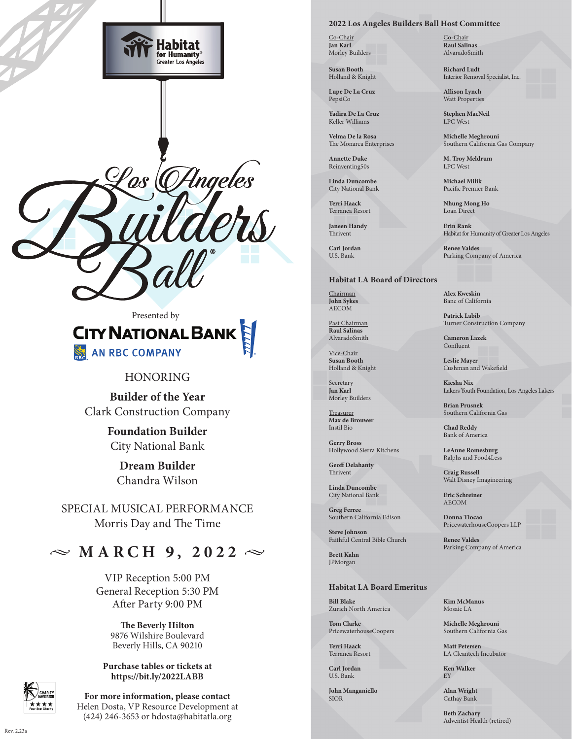

# Presented by **CITY NATIONAL BANK** AN RBC COMPANY

# HONORING

**Builder of the Year** Clark Construction Company

> **Foundation Builder** City National Bank

**Dream Builder** Chandra Wilson

SPECIAL MUSICAL PERFORMANCE Morris Day and The Time

# $\sim$  MARCH 9, 2022  $\sim$

VIP Reception 5:00 PM General Reception 5:30 PM After Party 9:00 PM

> **The Beverly Hilton** 9876 Wilshire Boulevard Beverly Hills, CA 90210

**Purchase tables or tickets at https://bit.ly/2022LABB**

**For more information, please contact**  Helen Dosta, VP Resource Development at (424) 246-3653 or hdosta@habitatla.org

#### **2022 Los Angeles Builders Ball Host Committee**

Co-Chair **Jan Karl** Morley Builders

**Susan Booth** Holland & Knight

**Lupe De La Cruz** PepsiCo

**Yadira De La Cruz** Keller Williams

**Velma De la Rosa** The Monarca Enterprises

**Annette Duke** Reinventing50s

**Linda Duncombe** City National Bank

**Terri Haack** Terranea Resort

**Janeen Handy** Thrivent

**Carl Jordan** U.S. Bank

### **Habitat LA Board of Directors**

Chairman **John Sykes** AECOM

Past Chairman **Raul Salinas** AlvaradoSmith

Vice-Chair **Susan Booth** Holland & Knight

**Secretary Jan Karl** Morley Builders

**Treasurer Max de Brouwer** Instil Bio

**Gerry Bross** Hollywood Sierra Kitchens

**Geoff Delahanty** Thrivent

**Linda Duncombe** City National Bank

**Greg Ferree** Southern California Edison

**Steve Johnson** Faithful Central Bible Church

**Brett Kahn** JPMorgan

## **Habitat LA Board Emeritus**

**Bill Blake** Zurich North America

**Tom Clarke** PricewaterhouseCoopers

**Terri Haack** Terranea Resort

**Carl Jordan** U.S. Bank

**John Manganiello** SIOR

Co-Chair **Raul Salinas** AlvaradoSmith

**Richard Ludt** Interior Removal Specialist, Inc.

**Allison Lynch** Watt Properties

**Stephen MacNeil** LPC West

**Michelle Meghrouni** Southern California Gas Company

**M. Troy Meldrum** LPC West

**Michael Milik** Pacific Premier Bank

**Nhung Mong Ho** Loan Direct

**Erin Rank** Habitat for Humanity of Greater Los Angeles

**Renee Valdes** Parking Company of America

**Alex Kweskin** Banc of California

**Patrick Labib** Turner Construction Company

**Cameron Lazek** Confluent

**Leslie Mayer** Cushman and Wakefield

**Kiesha Nix** Lakers Youth Foundation, Los Angeles Lakers

**Brian Prusnek** Southern California Gas

**Chad Reddy** Bank of America

**LeAnne Romesburg** Ralphs and Food4Less

**Craig Russell** Walt Disney Imagineering

**Eric Schreiner** AECOM

**Donna Tiocao** PricewaterhouseCoopers LLP

**Renee Valdes** Parking Company of America

**Kim McManus** Mosaic LA

**Michelle Meghrouni** Southern California Gas

**Matt Petersen** LA Cleantech Incubator

**Ken Walker** EY

**Alan Wright** Cathay Bank

> **Beth Zachary** Adventist Health (retired)

 $R_{\text{PV}}$  2.23a